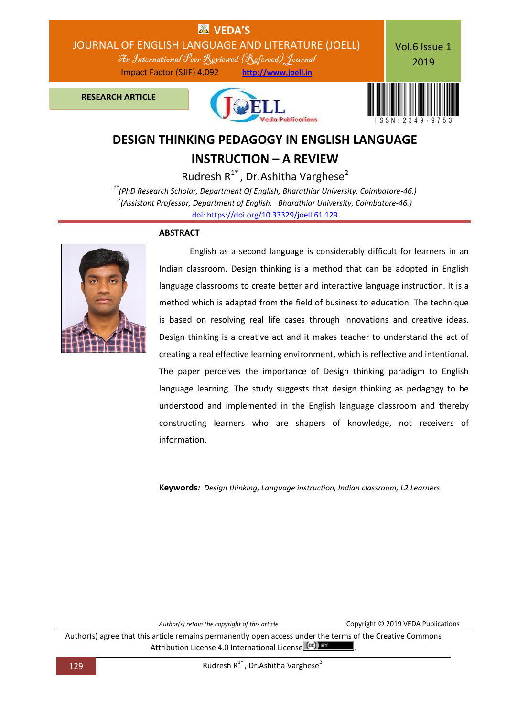

# **DESIGN THINKING PEDAGOGY IN ENGLISH LANGUAGE**

## **INSTRUCTION – A REVIEW**

Rudresh  $R^{1*}$ , Dr. Ashitha Varghese<sup>2</sup> *1\*(PhD Research Scholar, Department Of English, Bharathiar University, Coimbatore-46.) 2 (Assistant Professor, Department of English, Bharathiar University, Coimbatore-46.)* [doi: https://doi.org/10.33329/joell.61.129](http://joell.in/vol-6-issue-1-2019/)

## **ABSTRACT**



English as a second language is considerably difficult for learners in an Indian classroom. Design thinking is a method that can be adopted in English language classrooms to create better and interactive language instruction. It is a method which is adapted from the field of business to education. The technique is based on resolving real life cases through innovations and creative ideas. Design thinking is a creative act and it makes teacher to understand the act of creating a real effective learning environment, which is reflective and intentional. The paper perceives the importance of Design thinking paradigm to English language learning. The study suggests that design thinking as pedagogy to be understood and implemented in the English language classroom and thereby constructing learners who are shapers of knowledge, not receivers of information.

**Keywords***: Design thinking, Language instruction, Indian classroom, L2 Learners.*

*Author(s) retain the copyright of this article* Copyright © 2019 VEDA Publications

Author(s) agree that this article remains permanently open access under the terms of the Creative Commons Attribution License 4.0 International License cc)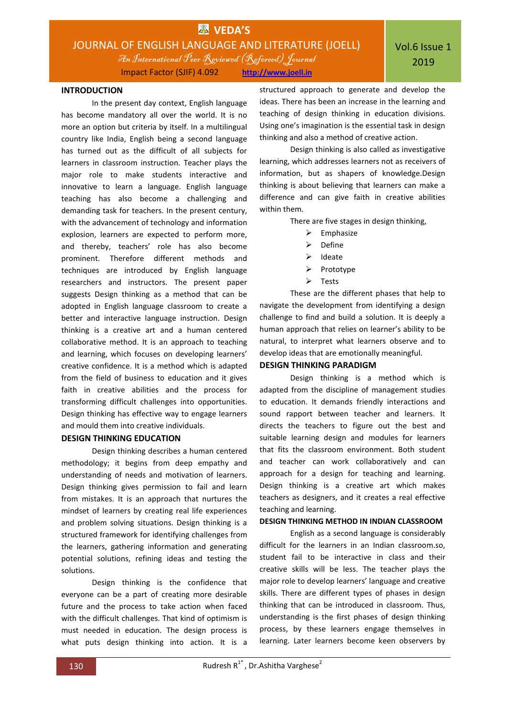

Impact Factor (SJIF) 4.092 **http://www.joell.in**

### **INTRODUCTION**

In the present day context, English language has become mandatory all over the world. It is no more an option but criteria by itself. In a multilingual country like India, English being a second language has turned out as the difficult of all subjects for learners in classroom instruction. Teacher plays the major role to make students interactive and innovative to learn a language. English language teaching has also become a challenging and demanding task for teachers. In the present century, with the advancement of technology and information explosion, learners are expected to perform more, and thereby, teachers' role has also become prominent. Therefore different methods and techniques are introduced by English language researchers and instructors. The present paper suggests Design thinking as a method that can be adopted in English language classroom to create a better and interactive language instruction. Design thinking is a creative art and a human centered collaborative method. It is an approach to teaching and learning, which focuses on developing learners' creative confidence. It is a method which is adapted from the field of business to education and it gives faith in creative abilities and the process for transforming difficult challenges into opportunities. Design thinking has effective way to engage learners and mould them into creative individuals.

#### **DESIGN THINKING EDUCATION**

Design thinking describes a human centered methodology; it begins from deep empathy and understanding of needs and motivation of learners. Design thinking gives permission to fail and learn from mistakes. It is an approach that nurtures the mindset of learners by creating real life experiences and problem solving situations. Design thinking is a structured framework for identifying challenges from the learners, gathering information and generating potential solutions, refining ideas and testing the solutions.

Design thinking is the confidence that everyone can be a part of creating more desirable future and the process to take action when faced with the difficult challenges. That kind of optimism is must needed in education. The design process is what puts design thinking into action. It is a

structured approach to generate and develop the ideas. There has been an increase in the learning and teaching of design thinking in education divisions. Using one's imagination is the essential task in design thinking and also a method of creative action.

Design thinking is also called as investigative learning, which addresses learners not as receivers of information, but as shapers of knowledge.Design thinking is about believing that learners can make a difference and can give faith in creative abilities within them.

There are five stages in design thinking,

- $\triangleright$  Emphasize
- $\triangleright$  Define
- $\triangleright$  Ideate
- $\triangleright$  Prototype
- > Tests

These are the different phases that help to navigate the development from identifying a design challenge to find and build a solution. It is deeply a human approach that relies on learner's ability to be natural, to interpret what learners observe and to develop ideas that are emotionally meaningful.

#### **DESIGN THINKING PARADIGM**

Design thinking is a method which is adapted from the discipline of management studies to education. It demands friendly interactions and sound rapport between teacher and learners. It directs the teachers to figure out the best and suitable learning design and modules for learners that fits the classroom environment. Both student and teacher can work collaboratively and can approach for a design for teaching and learning. Design thinking is a creative art which makes teachers as designers, and it creates a real effective teaching and learning.

#### **DESIGN THINKING METHOD IN INDIAN CLASSROOM**

English as a second language is considerably difficult for the learners in an Indian classroom.so, student fail to be interactive in class and their creative skills will be less. The teacher plays the major role to develop learners' language and creative skills. There are different types of phases in design thinking that can be introduced in classroom. Thus, understanding is the first phases of design thinking process, by these learners engage themselves in learning. Later learners become keen observers by